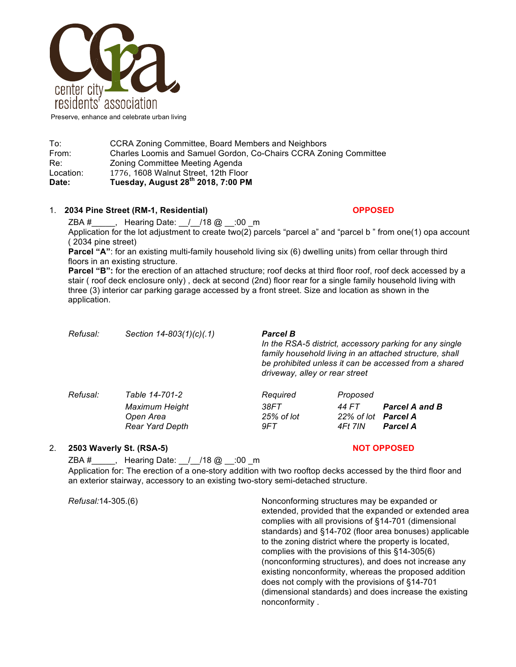

Preserve, enhance and celebrate urban living

| Date:     | Tuesday, August 28 <sup>th</sup> 2018, 7:00 PM                    |  |  |  |
|-----------|-------------------------------------------------------------------|--|--|--|
| Location: | 1776, 1608 Walnut Street, 12th Floor                              |  |  |  |
| Re:       | Zoning Committee Meeting Agenda                                   |  |  |  |
| From:     | Charles Loomis and Samuel Gordon, Co-Chairs CCRA Zoning Committee |  |  |  |
| To:       | CCRA Zoning Committee, Board Members and Neighbors                |  |  |  |

## 1. **2034 Pine Street (RM-1, Residential) OPPOSED**

 $ZBA #$ , Hearing Date:  $\frac{1}{10}$  /18 @  $\frac{1}{100}$  \_m

Application for the lot adjustment to create two(2) parcels "parcel a" and "parcel b " from one(1) opa account ( 2034 pine street)

**Parcel "A"**: for an existing multi-family household living six (6) dwelling units) from cellar through third floors in an existing structure.

**Parcel "B":** for the erection of an attached structure; roof decks at third floor roof, roof deck accessed by a stair ( roof deck enclosure only) , deck at second (2nd) floor rear for a single family household living with three (3) interior car parking garage accessed by a front street. Size and location as shown in the application.

| Refusal: | Section 14-803(1)(c)(.1)                      | <b>Parcel B</b><br>In the RSA-5 district, accessory parking for any single<br>family household living in an attached structure, shall<br>be prohibited unless it can be accessed from a shared<br>driveway, alley or rear street |                                 |                                          |
|----------|-----------------------------------------------|----------------------------------------------------------------------------------------------------------------------------------------------------------------------------------------------------------------------------------|---------------------------------|------------------------------------------|
| Refusal: | Table 14-701-2<br>Maximum Height<br>Open Area | Required<br>38FT<br>25% of lot                                                                                                                                                                                                   | Proposed<br>44 FT<br>22% of lot | <b>Parcel A and B</b><br><b>Parcel A</b> |
|          | Rear Yard Depth                               | 9FT.                                                                                                                                                                                                                             | 4Ft 7IN                         | <b>Parcel A</b>                          |

## 2. **2503 Waverly St. (RSA-5) NOT OPPOSED**

ZBA #\_\_\_\_\_, Hearing Date: \_\_/\_\_/18 @ \_\_:00 \_m Application for: The erection of a one-story addition with two rooftop decks accessed by the third floor and an exterior stairway, accessory to an existing two-story semi-detached structure.

*Refusal:*14-305.(6) Nonconforming structures may be expanded or extended, provided that the expanded or extended area complies with all provisions of §14-701 (dimensional standards) and §14-702 (floor area bonuses) applicable to the zoning district where the property is located, complies with the provisions of this §14-305(6) (nonconforming structures), and does not increase any existing nonconformity, whereas the proposed addition does not comply with the provisions of §14-701 (dimensional standards) and does increase the existing nonconformity .